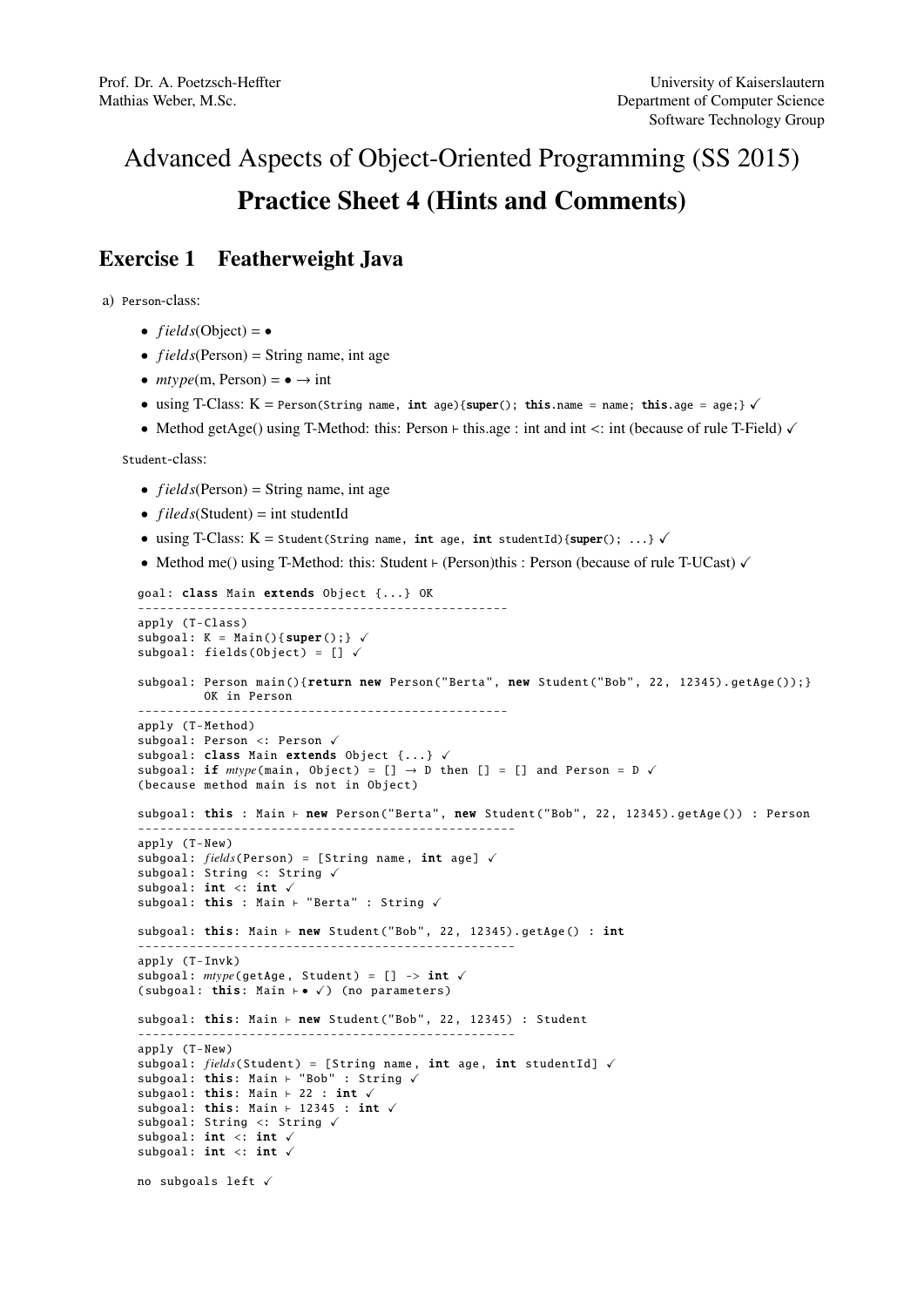## Advanced Aspects of Object-Oriented Programming (SS 2015) Practice Sheet 4 (Hints and Comments)

## Exercise 1 Featherweight Java

a) Person-class:

- $fields(Object) = \bullet$
- *fields*(Person) = String name, int age
- $mtype(m, Person) = \bullet \rightarrow int$
- using T-Class:  $K = Person(String name, int age){\{super(); this.name = name; this age = age;\}} \checkmark$
- Method getAge() using T-Method: this: Person  $\vdash$  this.age : int and int <: int (because of rule T-Field)  $\checkmark$

Student-class:

- $fields(Person) = String name, int age$
- $fileds(Student) = int studentId$
- using T-Class:  $K =$  Student(String name, int age, int studentId){super(); ...}  $\checkmark$
- Method me() using T-Method: this: Student  $\vdash$  (Person)this : Person (because of rule T-UCast)  $\checkmark$

```
goal: class Main extends Object {...} OK
                                                   --------------------------------------------------
apply (T-Class)
subgoal: K = \text{Main}(){super(); } \checkmarksubgoal: fields(Object) = [] \checkmarksubgoal: Person main(){return new Person("Berta", new Student("Bob", 22, 12345).getAge());}
         OK in Person
         --------------------------------------------------
apply (T-Method)
subgoal: Person <: Person \checkmarksubgoal: class Main extends Object \{ \ldots \} \checkmarksubgoal: if mtype(\text{main}, \text{ Object}) = [] \rightarrow D then [] = [] and Person = D \checkmark(because method main is not in Object)
subgoal: this : Main \vdash new Person("Berta", new Student("Bob", 22, 12345).getAge()) : Person
                  ---------------------------------------------------
apply (T-New)
subgoal: fields(Person) = [String name, int age] \checkmarksubgoal: String <: String \checkmarksubgoal: int <: int <subgoal: this : Main \vdash "Berta" : String \checkmarksubgoal: this: Main \vdash new Student("Bob", 22, 12345).getAge() : int
---------------------------------------------------
apply (T-Invk)
subgoal: mtype(getAge, Student) = [] \rightarrow int \checkmark(subgoal: this: Main \vdash \bullet \checkmark) (no parameters)
subgoal: this: Main \vdash new Student("Bob", 22, 12345) : Student
                   ---------------------------------------------------
apply (T-New)
subgoal: fields(Student) = [String name, int age, int studentId] \checkmarksubgoal: this: Main + "Bob" : String V
subgaol: this: Main \vdash 22 : int \checkmarksubgoal: this: Main \vdash 12345 : int \checkmarksubgoal: String <: String \checkmarksubgoal: int <: int <subgoal: int <: int <no subgoals left \checkmark
```